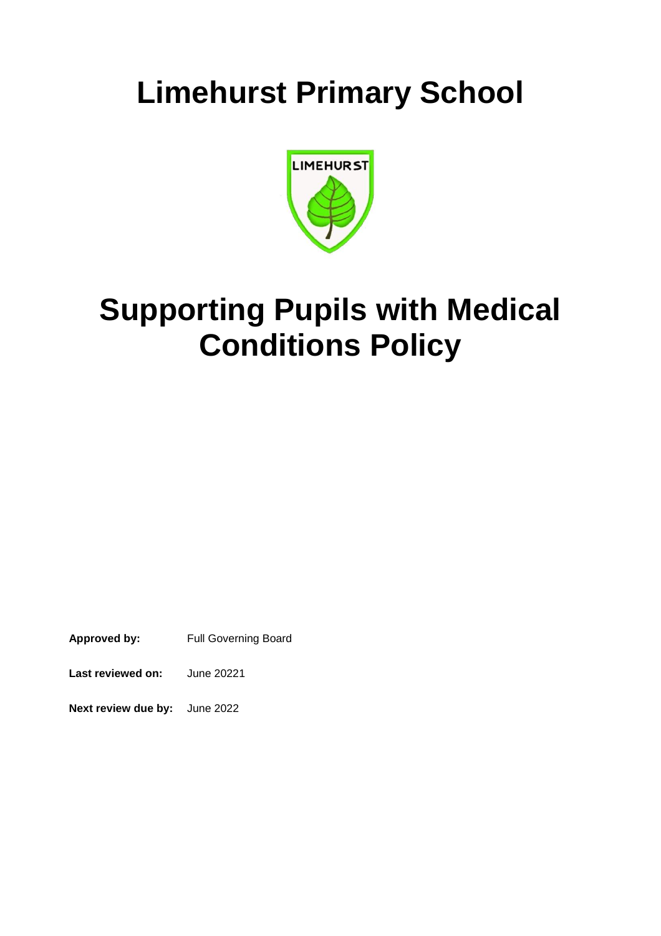# **Limehurst Primary School**



# **Supporting Pupils with Medical Conditions Policy**

**Approved by:** Full Governing Board

**Last reviewed on:** June 20221

**Next review due by:** June 2022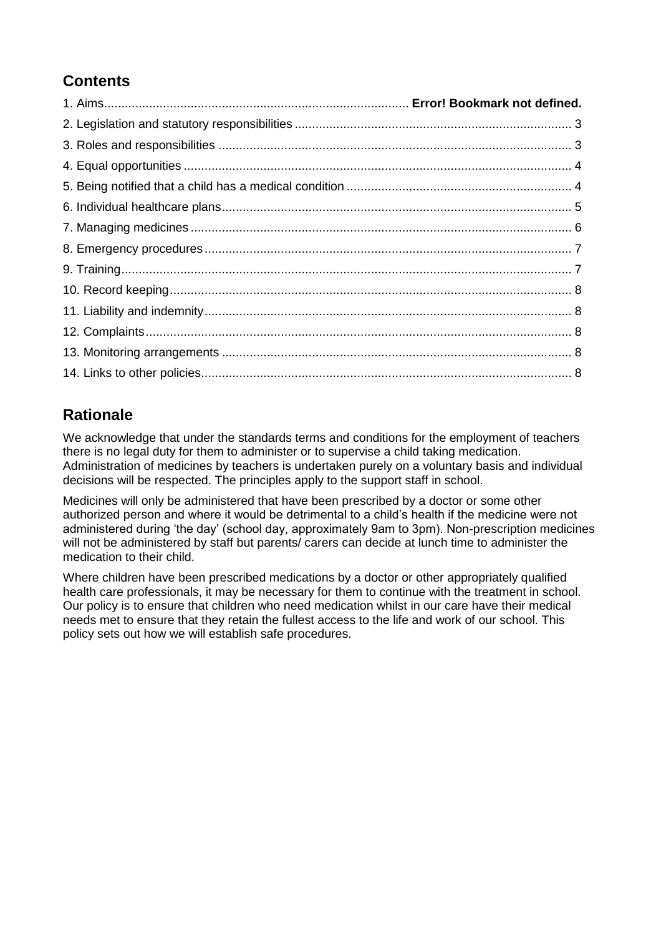# **Contents**

# **Rationale**

We acknowledge that under the standards terms and conditions for the employment of teachers there is no legal duty for them to administer or to supervise a child taking medication. Administration of medicines by teachers is undertaken purely on a voluntary basis and individual decisions will be respected. The principles apply to the support staff in school.

Medicines will only be administered that have been prescribed by a doctor or some other authorized person and where it would be detrimental to a child's health if the medicine were not administered during 'the day' (school day, approximately 9am to 3pm). Non-prescription medicines will not be administered by staff but parents/ carers can decide at lunch time to administer the medication to their child.

Where children have been prescribed medications by a doctor or other appropriately qualified health care professionals, it may be necessary for them to continue with the treatment in school. Our policy is to ensure that children who need medication whilst in our care have their medical needs met to ensure that they retain the fullest access to the life and work of our school. This policy sets out how we will establish safe procedures.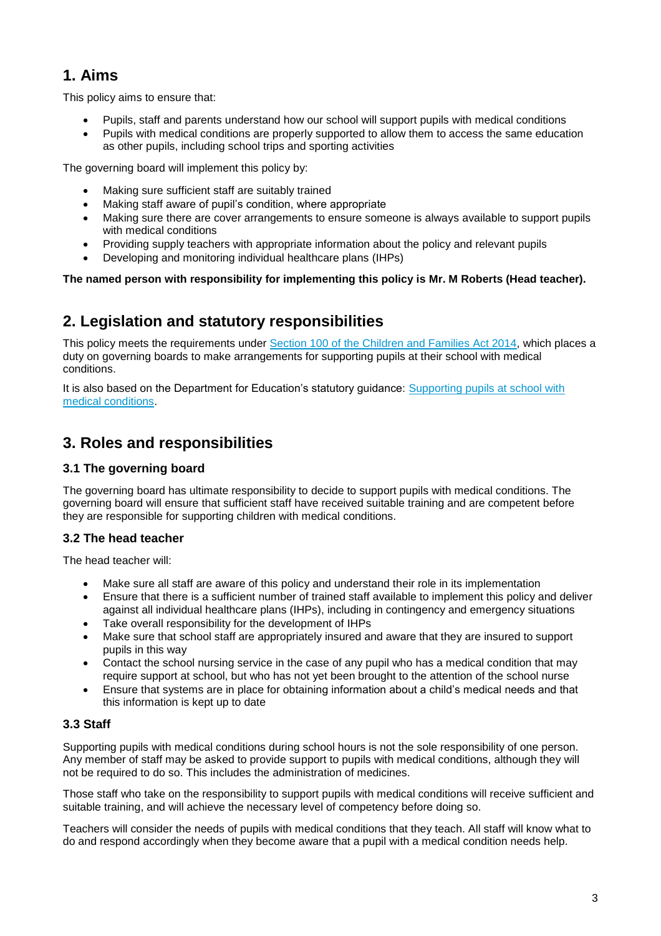## **1. Aims**

This policy aims to ensure that:

- Pupils, staff and parents understand how our school will support pupils with medical conditions
- Pupils with medical conditions are properly supported to allow them to access the same education as other pupils, including school trips and sporting activities

The governing board will implement this policy by:

- Making sure sufficient staff are suitably trained
- Making staff aware of pupil's condition, where appropriate
- Making sure there are cover arrangements to ensure someone is always available to support pupils with medical conditions
- Providing supply teachers with appropriate information about the policy and relevant pupils
- Developing and monitoring individual healthcare plans (IHPs)

**The named person with responsibility for implementing this policy is Mr. M Roberts (Head teacher).**

## **2. Legislation and statutory responsibilities**

This policy meets the requirements under [Section 100 of the Children and Families Act 2014,](http://www.legislation.gov.uk/ukpga/2014/6/part/5/crossheading/pupils-with-medical-conditions) which places a duty on governing boards to make arrangements for supporting pupils at their school with medical conditions.

It is also based on the Department for Education's statutory guidance: [Supporting pupils at school with](https://www.gov.uk/government/uploads/system/uploads/attachment_data/file/484418/supporting-pupils-at-school-with-medical-conditions.pdf)  [medical conditions.](https://www.gov.uk/government/uploads/system/uploads/attachment_data/file/484418/supporting-pupils-at-school-with-medical-conditions.pdf)

# **3. Roles and responsibilities**

### **3.1 The governing board**

The governing board has ultimate responsibility to decide to support pupils with medical conditions. The governing board will ensure that sufficient staff have received suitable training and are competent before they are responsible for supporting children with medical conditions.

### **3.2 The head teacher**

The head teacher will:

- Make sure all staff are aware of this policy and understand their role in its implementation
- Ensure that there is a sufficient number of trained staff available to implement this policy and deliver against all individual healthcare plans (IHPs), including in contingency and emergency situations
- Take overall responsibility for the development of IHPs
- Make sure that school staff are appropriately insured and aware that they are insured to support pupils in this way
- Contact the school nursing service in the case of any pupil who has a medical condition that may require support at school, but who has not yet been brought to the attention of the school nurse
- Ensure that systems are in place for obtaining information about a child's medical needs and that this information is kept up to date

### **3.3 Staff**

Supporting pupils with medical conditions during school hours is not the sole responsibility of one person. Any member of staff may be asked to provide support to pupils with medical conditions, although they will not be required to do so. This includes the administration of medicines.

Those staff who take on the responsibility to support pupils with medical conditions will receive sufficient and suitable training, and will achieve the necessary level of competency before doing so.

Teachers will consider the needs of pupils with medical conditions that they teach. All staff will know what to do and respond accordingly when they become aware that a pupil with a medical condition needs help.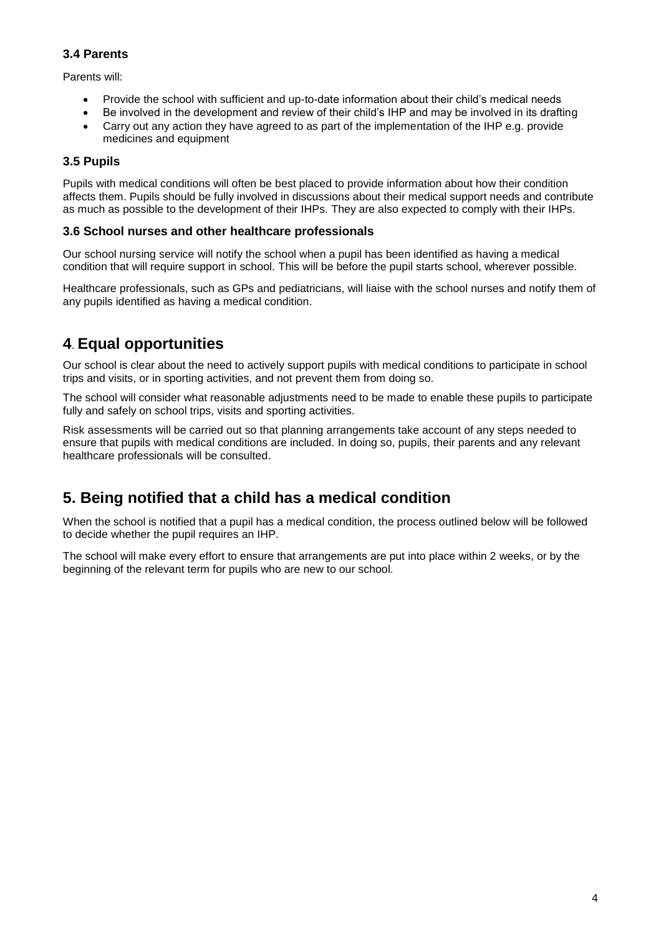#### **3.4 Parents**

Parents will:

- Provide the school with sufficient and up-to-date information about their child's medical needs
- Be involved in the development and review of their child's IHP and may be involved in its drafting
- Carry out any action they have agreed to as part of the implementation of the IHP e.g. provide medicines and equipment

#### **3.5 Pupils**

Pupils with medical conditions will often be best placed to provide information about how their condition affects them. Pupils should be fully involved in discussions about their medical support needs and contribute as much as possible to the development of their IHPs. They are also expected to comply with their IHPs.

#### **3.6 School nurses and other healthcare professionals**

Our school nursing service will notify the school when a pupil has been identified as having a medical condition that will require support in school. This will be before the pupil starts school, wherever possible.

Healthcare professionals, such as GPs and pediatricians, will liaise with the school nurses and notify them of any pupils identified as having a medical condition.

## **4**. **Equal opportunities**

Our school is clear about the need to actively support pupils with medical conditions to participate in school trips and visits, or in sporting activities, and not prevent them from doing so.

The school will consider what reasonable adjustments need to be made to enable these pupils to participate fully and safely on school trips, visits and sporting activities.

Risk assessments will be carried out so that planning arrangements take account of any steps needed to ensure that pupils with medical conditions are included. In doing so, pupils, their parents and any relevant healthcare professionals will be consulted.

## **5. Being notified that a child has a medical condition**

When the school is notified that a pupil has a medical condition, the process outlined below will be followed to decide whether the pupil requires an IHP.

The school will make every effort to ensure that arrangements are put into place within 2 weeks, or by the beginning of the relevant term for pupils who are new to our school.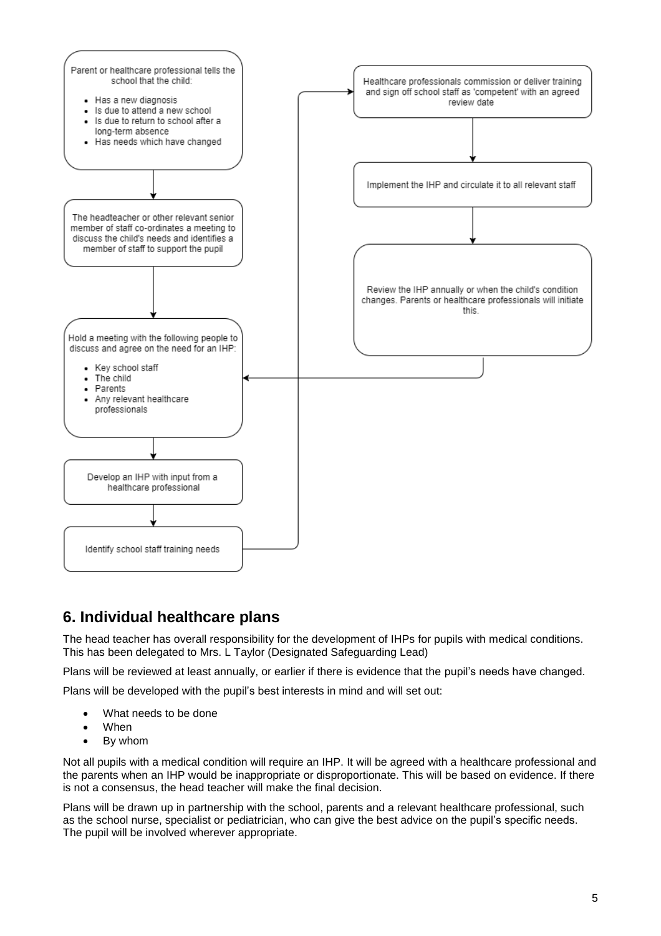

# **6. Individual healthcare plans**

The head teacher has overall responsibility for the development of IHPs for pupils with medical conditions. This has been delegated to Mrs. L Taylor (Designated Safeguarding Lead)

Plans will be reviewed at least annually, or earlier if there is evidence that the pupil's needs have changed.

Plans will be developed with the pupil's best interests in mind and will set out:

- What needs to be done
- When
- By whom

Not all pupils with a medical condition will require an IHP. It will be agreed with a healthcare professional and the parents when an IHP would be inappropriate or disproportionate. This will be based on evidence. If there is not a consensus, the head teacher will make the final decision.

Plans will be drawn up in partnership with the school, parents and a relevant healthcare professional, such as the school nurse, specialist or pediatrician, who can give the best advice on the pupil's specific needs. The pupil will be involved wherever appropriate.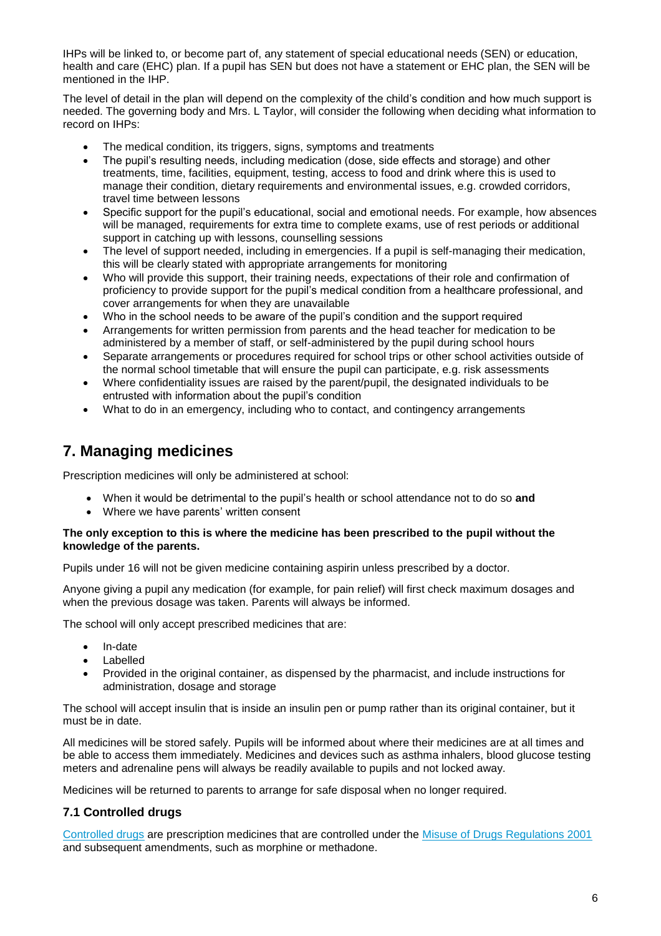IHPs will be linked to, or become part of, any statement of special educational needs (SEN) or education, health and care (EHC) plan. If a pupil has SEN but does not have a statement or EHC plan, the SEN will be mentioned in the IHP.

The level of detail in the plan will depend on the complexity of the child's condition and how much support is needed. The governing body and Mrs. L Taylor, will consider the following when deciding what information to record on IHPs:

- The medical condition, its triggers, signs, symptoms and treatments
- The pupil's resulting needs, including medication (dose, side effects and storage) and other treatments, time, facilities, equipment, testing, access to food and drink where this is used to manage their condition, dietary requirements and environmental issues, e.g. crowded corridors, travel time between lessons
- Specific support for the pupil's educational, social and emotional needs. For example, how absences will be managed, requirements for extra time to complete exams, use of rest periods or additional support in catching up with lessons, counselling sessions
- The level of support needed, including in emergencies. If a pupil is self-managing their medication, this will be clearly stated with appropriate arrangements for monitoring
- Who will provide this support, their training needs, expectations of their role and confirmation of proficiency to provide support for the pupil's medical condition from a healthcare professional, and cover arrangements for when they are unavailable
- Who in the school needs to be aware of the pupil's condition and the support required
- Arrangements for written permission from parents and the head teacher for medication to be administered by a member of staff, or self-administered by the pupil during school hours
- Separate arrangements or procedures required for school trips or other school activities outside of the normal school timetable that will ensure the pupil can participate, e.g. risk assessments
- Where confidentiality issues are raised by the parent/pupil, the designated individuals to be entrusted with information about the pupil's condition
- What to do in an emergency, including who to contact, and contingency arrangements

## **7. Managing medicines**

Prescription medicines will only be administered at school:

- When it would be detrimental to the pupil's health or school attendance not to do so **and**
- Where we have parents' written consent

#### **The only exception to this is where the medicine has been prescribed to the pupil without the knowledge of the parents.**

Pupils under 16 will not be given medicine containing aspirin unless prescribed by a doctor.

Anyone giving a pupil any medication (for example, for pain relief) will first check maximum dosages and when the previous dosage was taken. Parents will always be informed.

The school will only accept prescribed medicines that are:

- In-date
- Labelled
- Provided in the original container, as dispensed by the pharmacist, and include instructions for administration, dosage and storage

The school will accept insulin that is inside an insulin pen or pump rather than its original container, but it must be in date.

All medicines will be stored safely. Pupils will be informed about where their medicines are at all times and be able to access them immediately. Medicines and devices such as asthma inhalers, blood glucose testing meters and adrenaline pens will always be readily available to pupils and not locked away.

Medicines will be returned to parents to arrange for safe disposal when no longer required.

#### **7.1 Controlled drugs**

[Controlled drugs](http://www.nhs.uk/chq/Pages/1391.aspx?CategoryID=73) are prescription medicines that are controlled under the [Misuse of Drugs Regulations 2001](http://www.legislation.gov.uk/uksi/2001/3998/schedule/1/made) and subsequent amendments, such as morphine or methadone.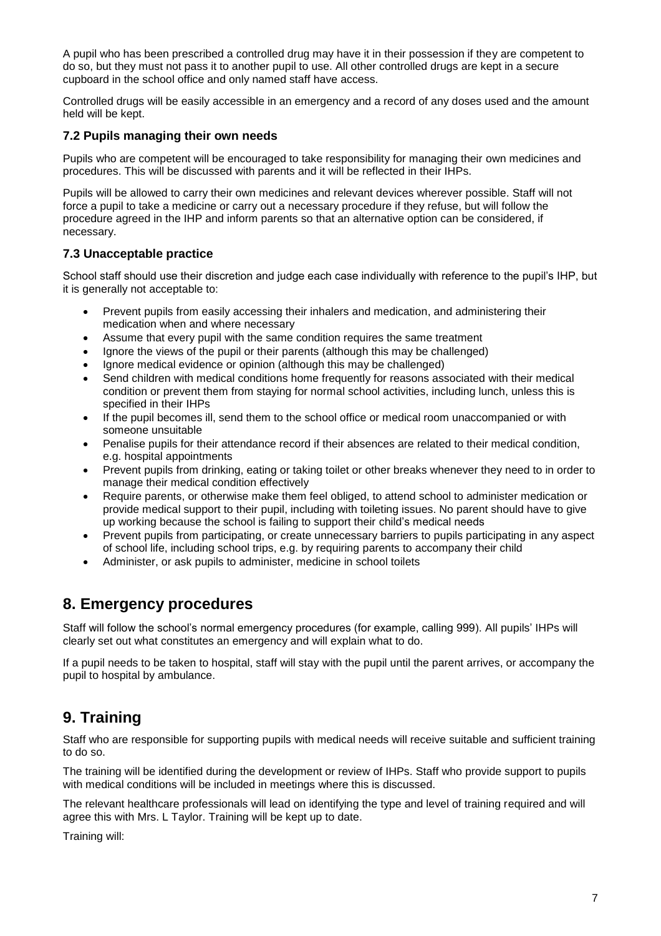A pupil who has been prescribed a controlled drug may have it in their possession if they are competent to do so, but they must not pass it to another pupil to use. All other controlled drugs are kept in a secure cupboard in the school office and only named staff have access.

Controlled drugs will be easily accessible in an emergency and a record of any doses used and the amount held will be kept.

#### **7.2 Pupils managing their own needs**

Pupils who are competent will be encouraged to take responsibility for managing their own medicines and procedures. This will be discussed with parents and it will be reflected in their IHPs.

Pupils will be allowed to carry their own medicines and relevant devices wherever possible. Staff will not force a pupil to take a medicine or carry out a necessary procedure if they refuse, but will follow the procedure agreed in the IHP and inform parents so that an alternative option can be considered, if necessary.

#### **7.3 Unacceptable practice**

School staff should use their discretion and judge each case individually with reference to the pupil's IHP, but it is generally not acceptable to:

- Prevent pupils from easily accessing their inhalers and medication, and administering their medication when and where necessary
- Assume that every pupil with the same condition requires the same treatment
- Ignore the views of the pupil or their parents (although this may be challenged)
- Ignore medical evidence or opinion (although this may be challenged)
- Send children with medical conditions home frequently for reasons associated with their medical condition or prevent them from staying for normal school activities, including lunch, unless this is specified in their IHPs
- If the pupil becomes ill, send them to the school office or medical room unaccompanied or with someone unsuitable
- Penalise pupils for their attendance record if their absences are related to their medical condition, e.g. hospital appointments
- Prevent pupils from drinking, eating or taking toilet or other breaks whenever they need to in order to manage their medical condition effectively
- Require parents, or otherwise make them feel obliged, to attend school to administer medication or provide medical support to their pupil, including with toileting issues. No parent should have to give up working because the school is failing to support their child's medical needs
- Prevent pupils from participating, or create unnecessary barriers to pupils participating in any aspect of school life, including school trips, e.g. by requiring parents to accompany their child
- Administer, or ask pupils to administer, medicine in school toilets

## **8. Emergency procedures**

Staff will follow the school's normal emergency procedures (for example, calling 999). All pupils' IHPs will clearly set out what constitutes an emergency and will explain what to do.

If a pupil needs to be taken to hospital, staff will stay with the pupil until the parent arrives, or accompany the pupil to hospital by ambulance.

## **9. Training**

Staff who are responsible for supporting pupils with medical needs will receive suitable and sufficient training to do so.

The training will be identified during the development or review of IHPs. Staff who provide support to pupils with medical conditions will be included in meetings where this is discussed.

The relevant healthcare professionals will lead on identifying the type and level of training required and will agree this with Mrs. L Taylor. Training will be kept up to date.

Training will: